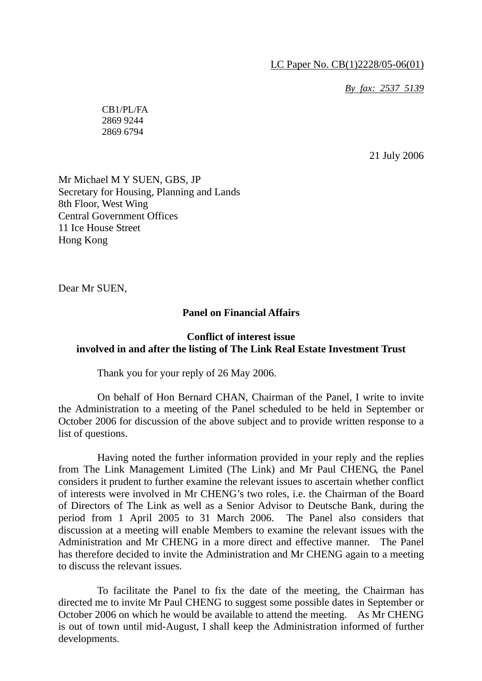*By fax: 2537 5139*

CB1/PL/FA 2869 9244 2869 6794

21 July 2006

Mr Michael M Y SUEN, GBS, JP Secretary for Housing, Planning and Lands 8th Floor, West Wing Central Government Offices 11 Ice House Street Hong Kong

Dear Mr SUEN,

#### **Panel on Financial Affairs**

## **Conflict of interest issue involved in and after the listing of The Link Real Estate Investment Trust**

Thank you for your reply of 26 May 2006.

 On behalf of Hon Bernard CHAN, Chairman of the Panel, I write to invite the Administration to a meeting of the Panel scheduled to be held in September or October 2006 for discussion of the above subject and to provide written response to a list of questions.

 Having noted the further information provided in your reply and the replies from The Link Management Limited (The Link) and Mr Paul CHENG, the Panel considers it prudent to further examine the relevant issues to ascertain whether conflict of interests were involved in Mr CHENG's two roles, i.e. the Chairman of the Board of Directors of The Link as well as a Senior Advisor to Deutsche Bank, during the period from 1 April 2005 to 31 March 2006. The Panel also considers that discussion at a meeting will enable Members to examine the relevant issues with the Administration and Mr CHENG in a more direct and effective manner. The Panel has therefore decided to invite the Administration and Mr CHENG again to a meeting to discuss the relevant issues.

 To facilitate the Panel to fix the date of the meeting, the Chairman has directed me to invite Mr Paul CHENG to suggest some possible dates in September or October 2006 on which he would be available to attend the meeting. As Mr CHENG is out of town until mid-August, I shall keep the Administration informed of further developments.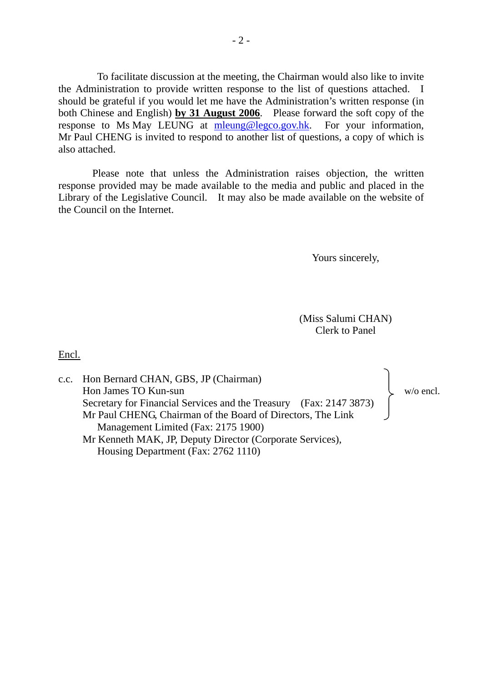To facilitate discussion at the meeting, the Chairman would also like to invite the Administration to provide written response to the list of questions attached. I should be grateful if you would let me have the Administration's written response (in both Chinese and English) **by 31 August 2006**. Please forward the soft copy of the response to Ms May LEUNG at mleung@legco.gov.hk. For your information, Mr Paul CHENG is invited to respond to another list of questions, a copy of which is also attached.

 Please note that unless the Administration raises objection, the written response provided may be made available to the media and public and placed in the Library of the Legislative Council. It may also be made available on the website of the Council on the Internet.

Yours sincerely,

(Miss Salumi CHAN) Clerk to Panel

Encl.

| c.c. Hon Bernard CHAN, GBS, JP (Chairman)                          |           |
|--------------------------------------------------------------------|-----------|
| Hon James TO Kun-sun                                               | w/o encl. |
| Secretary for Financial Services and the Treasury (Fax: 2147 3873) |           |
| Mr Paul CHENG, Chairman of the Board of Directors, The Link        |           |
| Management Limited (Fax: 2175 1900)                                |           |
| Mr Kenneth MAK, JP, Deputy Director (Corporate Services),          |           |
| Housing Department (Fax: 2762 1110)                                |           |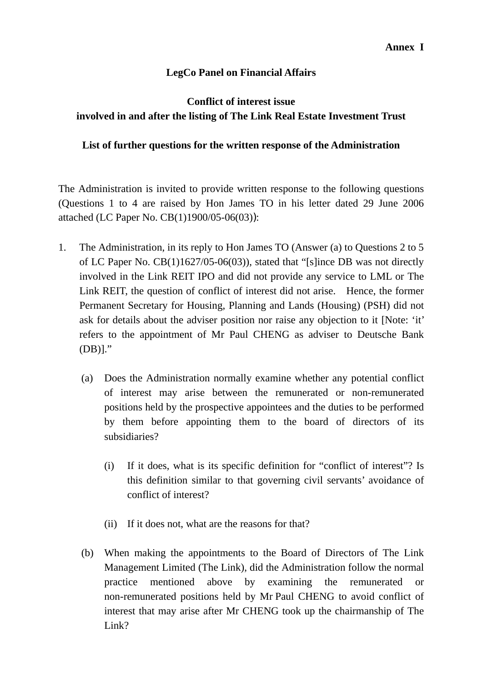# **LegCo Panel on Financial Affairs**

# **Conflict of interest issue involved in and after the listing of The Link Real Estate Investment Trust**

## **List of further questions for the written response of the Administration**

The Administration is invited to provide written response to the following questions (Questions 1 to 4 are raised by Hon James TO in his letter dated 29 June 2006 attached (LC Paper No. CB(1)1900/05-06(03)):

- 1. The Administration, in its reply to Hon James TO (Answer (a) to Questions 2 to 5 of LC Paper No. CB(1)1627/05-06(03)), stated that "[s]ince DB was not directly involved in the Link REIT IPO and did not provide any service to LML or The Link REIT, the question of conflict of interest did not arise. Hence, the former Permanent Secretary for Housing, Planning and Lands (Housing) (PSH) did not ask for details about the adviser position nor raise any objection to it [Note: 'it' refers to the appointment of Mr Paul CHENG as adviser to Deutsche Bank (DB)]."
	- (a) Does the Administration normally examine whether any potential conflict of interest may arise between the remunerated or non-remunerated positions held by the prospective appointees and the duties to be performed by them before appointing them to the board of directors of its subsidiaries?
		- (i) If it does, what is its specific definition for "conflict of interest"? Is this definition similar to that governing civil servants' avoidance of conflict of interest?
		- (ii) If it does not, what are the reasons for that?
	- (b) When making the appointments to the Board of Directors of The Link Management Limited (The Link), did the Administration follow the normal practice mentioned above by examining the remunerated or non-remunerated positions held by Mr Paul CHENG to avoid conflict of interest that may arise after Mr CHENG took up the chairmanship of The Link?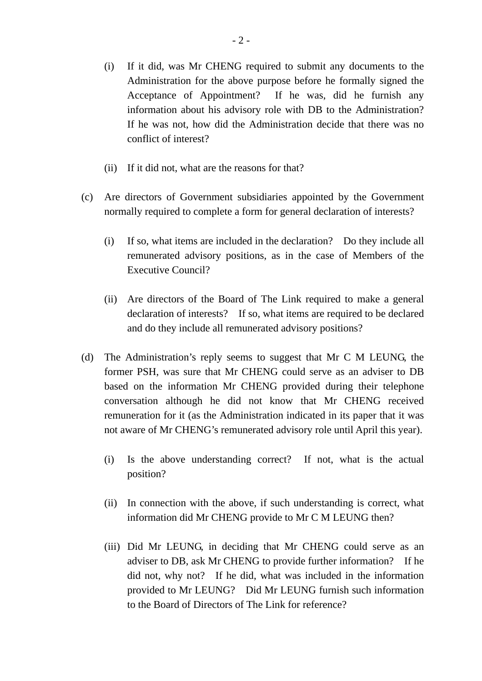- (i) If it did, was Mr CHENG required to submit any documents to the Administration for the above purpose before he formally signed the Acceptance of Appointment? If he was, did he furnish any information about his advisory role with DB to the Administration? If he was not, how did the Administration decide that there was no conflict of interest?
- (ii) If it did not, what are the reasons for that?
- (c) Are directors of Government subsidiaries appointed by the Government normally required to complete a form for general declaration of interests?
	- (i) If so, what items are included in the declaration? Do they include all remunerated advisory positions, as in the case of Members of the Executive Council?
	- (ii) Are directors of the Board of The Link required to make a general declaration of interests? If so, what items are required to be declared and do they include all remunerated advisory positions?
- (d) The Administration's reply seems to suggest that Mr C M LEUNG, the former PSH, was sure that Mr CHENG could serve as an adviser to DB based on the information Mr CHENG provided during their telephone conversation although he did not know that Mr CHENG received remuneration for it (as the Administration indicated in its paper that it was not aware of Mr CHENG's remunerated advisory role until April this year).
	- (i) Is the above understanding correct? If not, what is the actual position?
	- (ii) In connection with the above, if such understanding is correct, what information did Mr CHENG provide to Mr C M LEUNG then?
	- (iii) Did Mr LEUNG, in deciding that Mr CHENG could serve as an adviser to DB, ask Mr CHENG to provide further information? If he did not, why not? If he did, what was included in the information provided to Mr LEUNG? Did Mr LEUNG furnish such information to the Board of Directors of The Link for reference?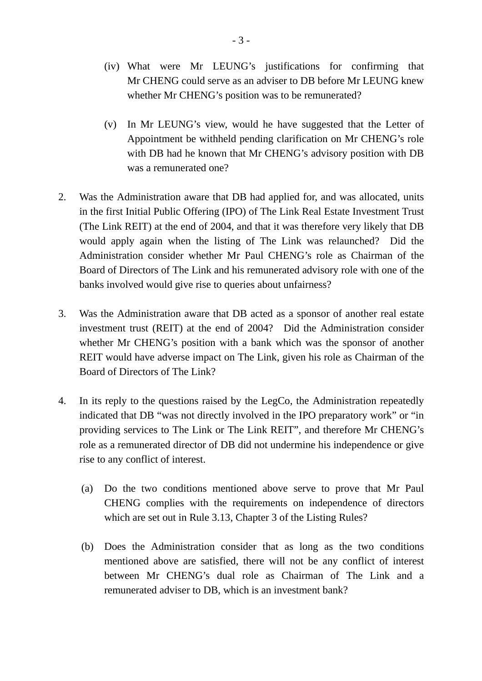- (iv) What were Mr LEUNG's justifications for confirming that Mr CHENG could serve as an adviser to DB before Mr LEUNG knew whether Mr CHENG's position was to be remunerated?
- (v) In Mr LEUNG's view, would he have suggested that the Letter of Appointment be withheld pending clarification on Mr CHENG's role with DB had he known that Mr CHENG's advisory position with DB was a remunerated one?
- 2. Was the Administration aware that DB had applied for, and was allocated, units in the first Initial Public Offering (IPO) of The Link Real Estate Investment Trust (The Link REIT) at the end of 2004, and that it was therefore very likely that DB would apply again when the listing of The Link was relaunched? Did the Administration consider whether Mr Paul CHENG's role as Chairman of the Board of Directors of The Link and his remunerated advisory role with one of the banks involved would give rise to queries about unfairness?
- 3. Was the Administration aware that DB acted as a sponsor of another real estate investment trust (REIT) at the end of 2004? Did the Administration consider whether Mr CHENG's position with a bank which was the sponsor of another REIT would have adverse impact on The Link, given his role as Chairman of the Board of Directors of The Link?
- 4. In its reply to the questions raised by the LegCo, the Administration repeatedly indicated that DB "was not directly involved in the IPO preparatory work" or "in providing services to The Link or The Link REIT", and therefore Mr CHENG's role as a remunerated director of DB did not undermine his independence or give rise to any conflict of interest.
	- (a) Do the two conditions mentioned above serve to prove that Mr Paul CHENG complies with the requirements on independence of directors which are set out in Rule 3.13, Chapter 3 of the Listing Rules?
	- (b) Does the Administration consider that as long as the two conditions mentioned above are satisfied, there will not be any conflict of interest between Mr CHENG's dual role as Chairman of The Link and a remunerated adviser to DB, which is an investment bank?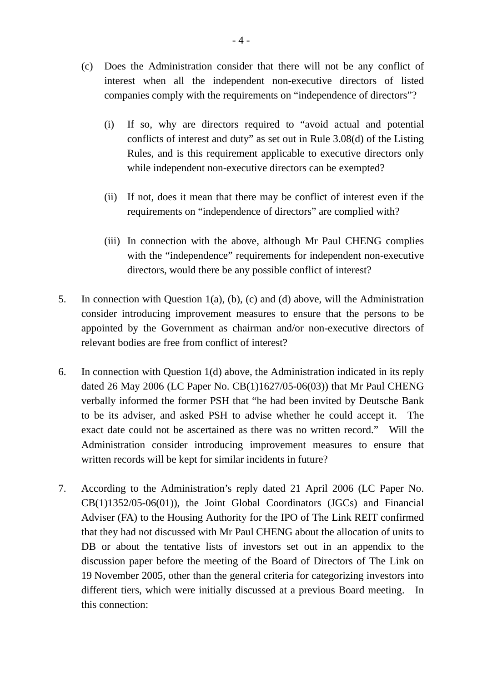- (c) Does the Administration consider that there will not be any conflict of interest when all the independent non-executive directors of listed companies comply with the requirements on "independence of directors"?
	- (i) If so, why are directors required to "avoid actual and potential conflicts of interest and duty" as set out in Rule 3.08(d) of the Listing Rules, and is this requirement applicable to executive directors only while independent non-executive directors can be exempted?
	- (ii) If not, does it mean that there may be conflict of interest even if the requirements on "independence of directors" are complied with?
	- (iii) In connection with the above, although Mr Paul CHENG complies with the "independence" requirements for independent non-executive directors, would there be any possible conflict of interest?
- 5. In connection with Question 1(a), (b), (c) and (d) above, will the Administration consider introducing improvement measures to ensure that the persons to be appointed by the Government as chairman and/or non-executive directors of relevant bodies are free from conflict of interest?
- 6. In connection with Question 1(d) above, the Administration indicated in its reply dated 26 May 2006 (LC Paper No. CB(1)1627/05-06(03)) that Mr Paul CHENG verbally informed the former PSH that "he had been invited by Deutsche Bank to be its adviser, and asked PSH to advise whether he could accept it. The exact date could not be ascertained as there was no written record." Will the Administration consider introducing improvement measures to ensure that written records will be kept for similar incidents in future?
- 7. According to the Administration's reply dated 21 April 2006 (LC Paper No. CB(1)1352/05-06(01)), the Joint Global Coordinators (JGCs) and Financial Adviser (FA) to the Housing Authority for the IPO of The Link REIT confirmed that they had not discussed with Mr Paul CHENG about the allocation of units to DB or about the tentative lists of investors set out in an appendix to the discussion paper before the meeting of the Board of Directors of The Link on 19 November 2005, other than the general criteria for categorizing investors into different tiers, which were initially discussed at a previous Board meeting. In this connection: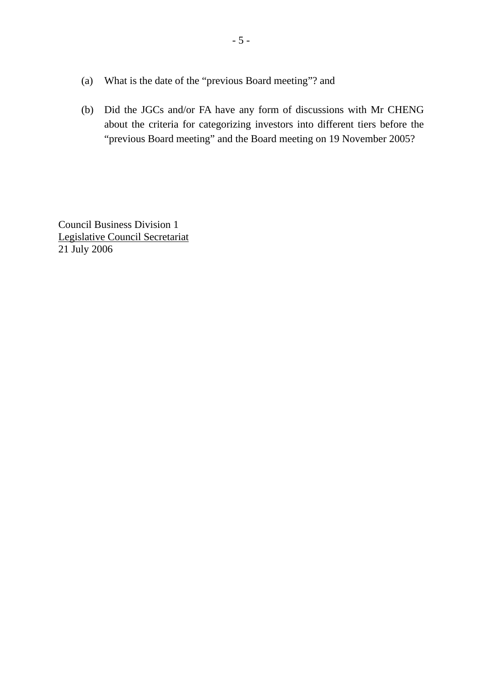- (a) What is the date of the "previous Board meeting"? and
- (b) Did the JGCs and/or FA have any form of discussions with Mr CHENG about the criteria for categorizing investors into different tiers before the "previous Board meeting" and the Board meeting on 19 November 2005?

Council Business Division 1 Legislative Council Secretariat 21 July 2006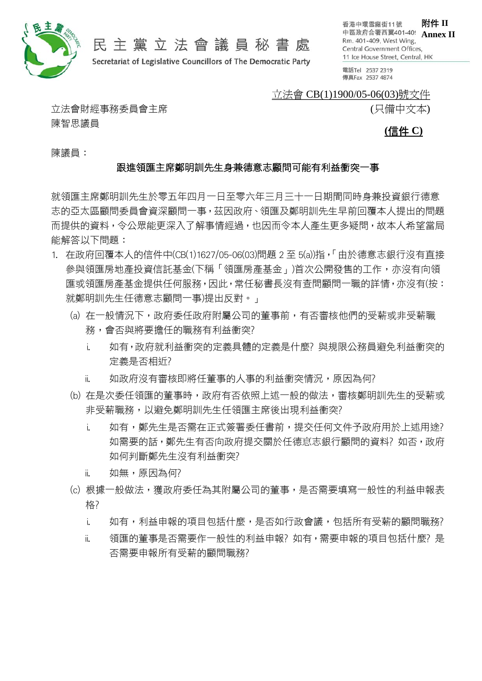

# 民主黨立法會議員秘書處

Secretariat of Legislative Councillors of The Democratic Party

附件 **II** 香港中環雪廠街11號 中區政府合署西翼401-409 **Annex II** Rm. 401-409, West Wing, Central Government Offices, 11 Ice House Street, Central, HK

電話Tel 2537 2319 傳真Fax 2537 4874

#### 立法會 CB(1)1900/05-06(03)號文件

(只備中文本)

立法會財經事務委員會主席 陳智思議員

**(**信件 **C)**

陳議員:

#### 跟進領匯主席鄭明訓先生身兼德意志顧問可能有利益衝突一事

就領匯主席鄭明訓先生於零五年四月一日至零六年三月三十一日期間同時身兼投資銀行德意 志的亞太區顧問委員會資深顧問一事,茲因政府、領匯及鄭明訓先生早前回覆本人提出的問題 而提供的資料,令公眾能更深入了解事情經過,也因而令本人產生更多疑問,故本人希望當局 能解答以下問題:

- 1. 在政府回覆本人的信件中(CB(1)1627/05-06(03)問題 2 至 5(a))指,「由於德意志銀行沒有直接 參與領匯房地產投資信託基金(下稱「領匯房產基金」)首次公開發售的工作,亦沒有向領 匯或領匯房產基金提供任何服務,因此,常任秘書長沒有查問顧問一職的詳情,亦沒有(按: 就鄭明訓先生任德意志顧問一事)提出反對。」
	- (a) 在一般情況下,政府委任政府附屬公司的董事前,有否審核他們的受薪或非受薪職 務,會否與將要擔任的職務有利益衝突?
		- i. 如有,政府就利益衝突的定義具體的定義是什麼? 與規限公務員避免利益衝突的 定義是否相近?
		- ii. 如政府沒有審核即將任董事的人事的利益衝突情況,原因為何?
	- (b) 在是次委任領匯的董事時,政府有否依照上述一般的做法,審核鄭明訓先生的受薪或 非受薪職務,以避免鄭明訓先生任領匯主席後出現利益衝突?
		- i. 如有,鄭先生是否需在正式簽署委任書前,提交任何文件予政府用於上述用途? 如需要的話,鄭先生有否向政府提交關於任德息志銀行顧問的資料?如否,政府 如何判斷鄭先生沒有利益衝突?
		- ii. 如無,原因為何?
	- (c) 根據一般做法,獲政府委任為其附屬公司的董事,是否需要填寫一般性的利益申報表 格?
		- i. 如有,利益申報的項目包括什麼,是否如行政會議,包括所有受薪的顧問職務?
		- ii. 領匯的董事是否需要作一般性的利益申報? 如有,需要申報的項目包括什麼? 是 否需要申報所有受薪的顧問職務?